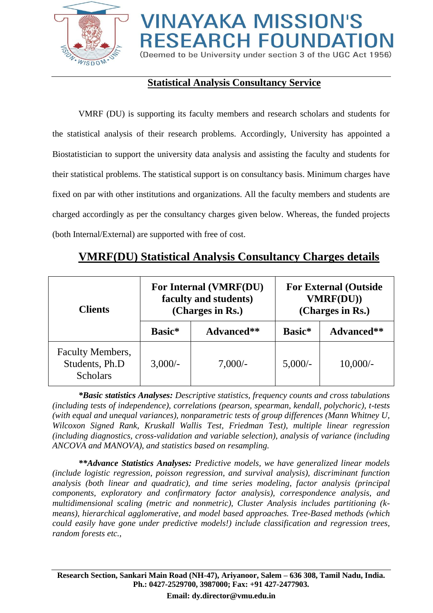

# **VINAYAKA MISSION'S RESEARCH FOUNDATION**

(Deemed to be University under section 3 of the UGC Act 1956)

## **Statistical Analysis Consultancy Service**

VMRF (DU) is supporting its faculty members and research scholars and students for the statistical analysis of their research problems. Accordingly, University has appointed a Biostatistician to support the university data analysis and assisting the faculty and students for their statistical problems. The statistical support is on consultancy basis. Minimum charges have fixed on par with other institutions and organizations. All the faculty members and students are charged accordingly as per the consultancy charges given below. Whereas, the funded projects (both Internal/External) are supported with free of cost.

#### **Clients For Internal (VMRF(DU) faculty and students) (Charges in Rs.) For External (Outside VMRF(DU)) (Charges in Rs.) Basic\* Advanced\*\* Basic\* Advanced\*\*** Faculty Members, Students, Ph.D **Scholars** 3,000/- 7,000/- 5,000/- 10,000/-

## **VMRF(DU) Statistical Analysis Consultancy Charges details**

*\*Basic statistics Analyses: Descriptive statistics, frequency counts and cross tabulations (including tests of independence), correlations (pearson, spearman, kendall, polychoric), t-tests (with equal and unequal variances), nonparametric tests of group differences (Mann Whitney U, Wilcoxon Signed Rank, Kruskall Wallis Test, Friedman Test), multiple linear regression (including diagnostics, cross-validation and variable selection), analysis of variance (including ANCOVA and MANOVA), and statistics based on resampling.*

*\*\*Advance Statistics Analyses: Predictive models, we have generalized linear models (include logistic regression, poisson regression, and survival analysis), discriminant function analysis (both linear and quadratic), and time series modeling, factor analysis (principal components, exploratory and confirmatory factor analysis), correspondence analysis, and multidimensional scaling (metric and nonmetric), Cluster Analysis includes partitioning (kmeans), hierarchical agglomerative, and model based approaches. Tree-Based methods (which could easily have gone under predictive models!) include classification and regression trees, random forests etc.,*

**Research Section, Sankari Main Road (NH-47), Ariyanoor, Salem – 636 308, Tamil Nadu, India. Ph.: 0427-2529700, 3987000; Fax: +91 427-2477903.**